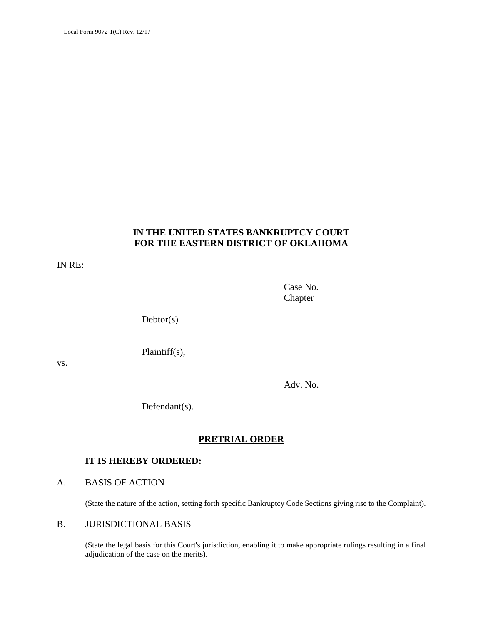### **IN THE UNITED STATES BANKRUPTCY COURT FOR THE EASTERN DISTRICT OF OKLAHOMA**

IN RE:

Case No. Chapter

Debtor(s)

Plaintiff(s),

vs.

Adv. No.

Defendant(s).

# **PRETRIAL ORDER**

### **IT IS HEREBY ORDERED:**

### A. BASIS OF ACTION

(State the nature of the action, setting forth specific Bankruptcy Code Sections giving rise to the Complaint).

### B. JURISDICTIONAL BASIS

(State the legal basis for this Court's jurisdiction, enabling it to make appropriate rulings resulting in a final adjudication of the case on the merits).